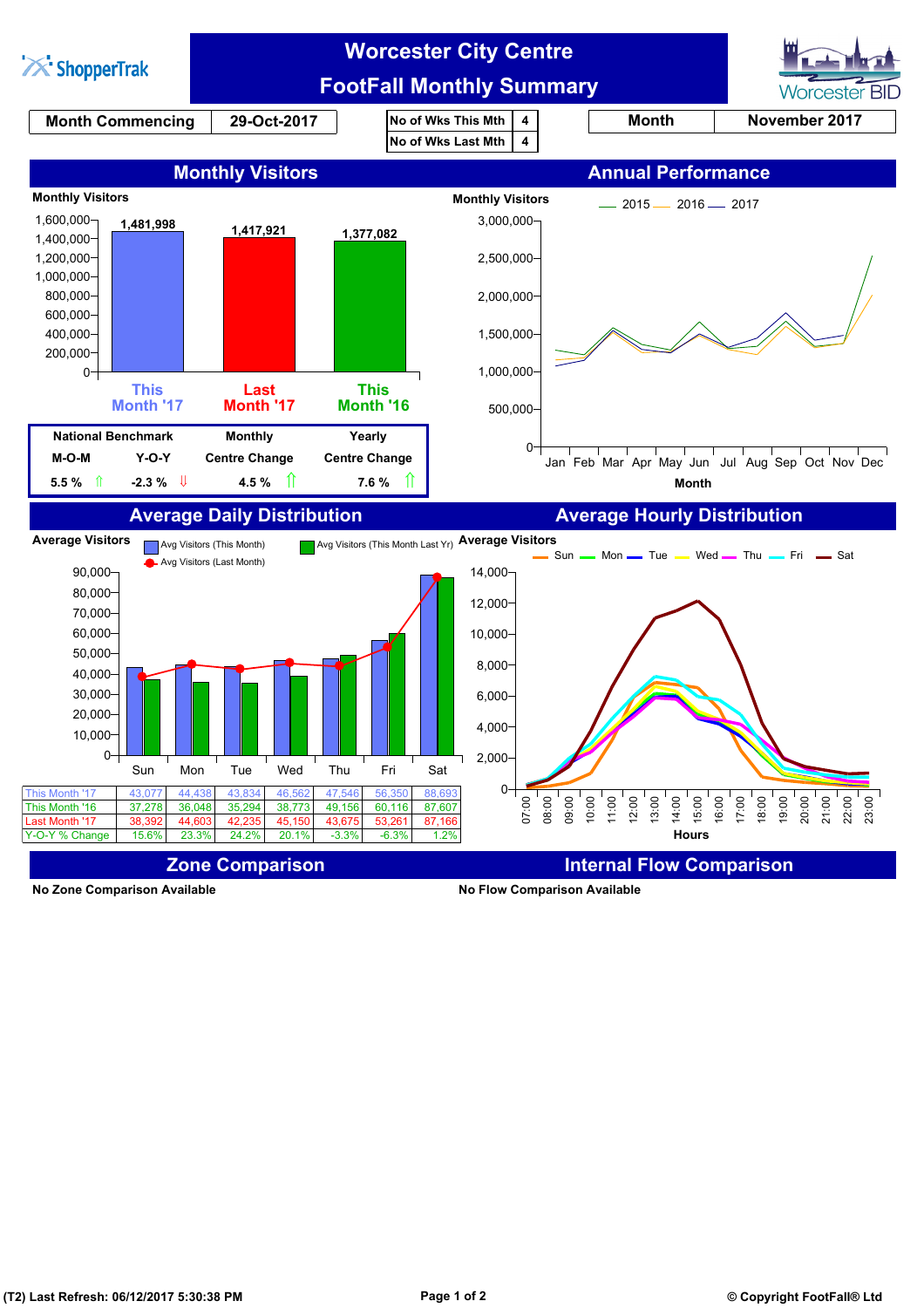

**No Zone Comparison Available No Flow Comparison Available**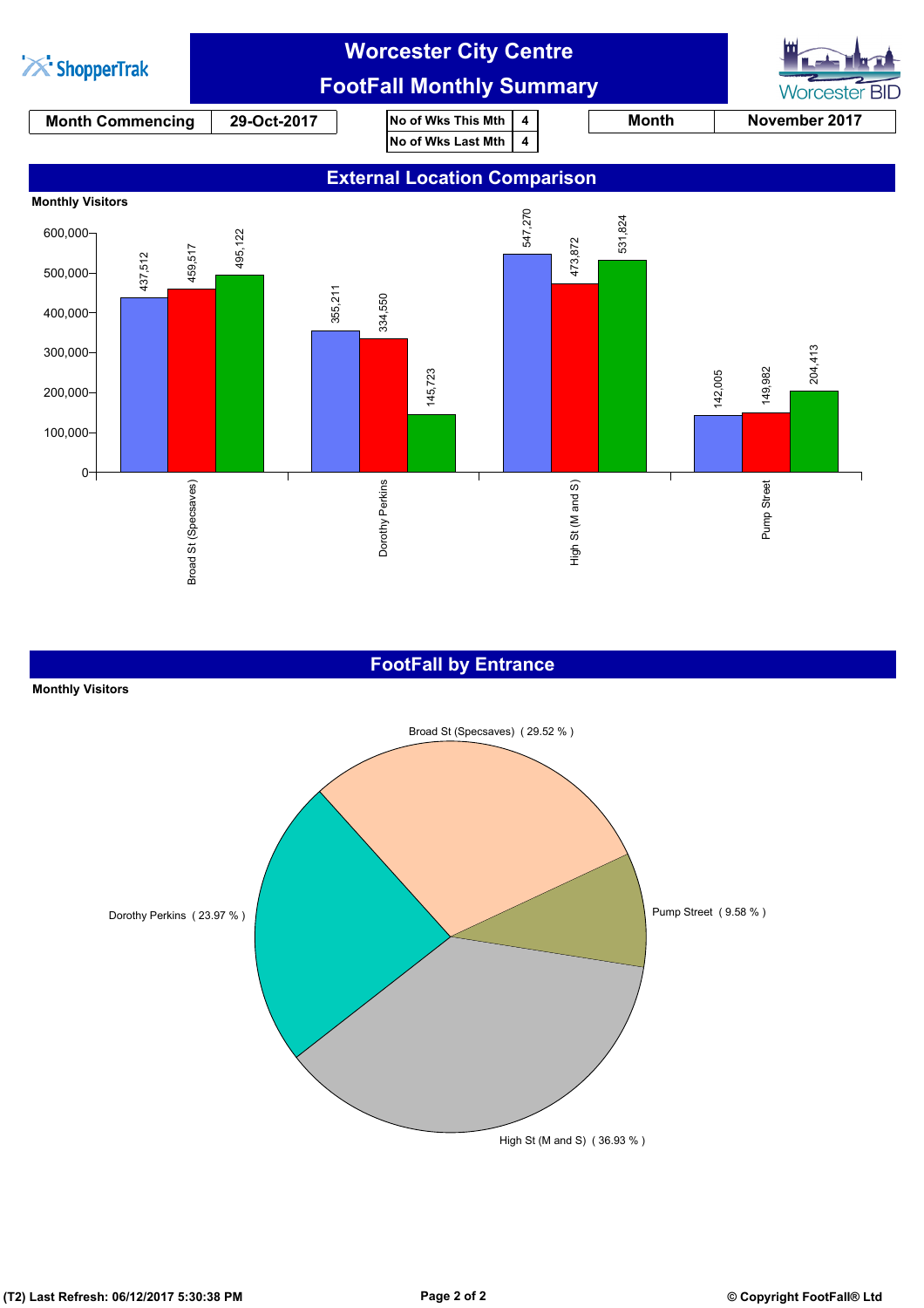

## **FootFall by Entrance**